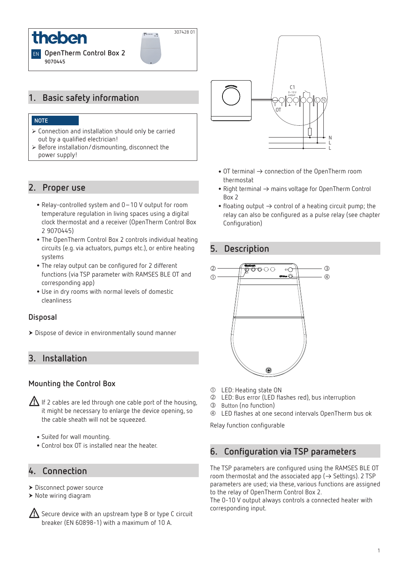

## **1. Basic safety information**

#### **NOTE**

- ¾ Connection and installation should only be carried out by a qualified electrician!
- $\triangleright$  Before installation/dismounting, disconnect the power supply!

#### **2. Proper use**

- •Relay-controlled system and 0–10 V output for room temperature regulation in living spaces using a digital clock thermostat and a receiver (OpenTherm Control Box 2 9070445)
- •The OpenTherm Control Box 2 controls individual heating circuits (e.g. via actuators, pumps etc.), or entire heating systems
- •The relay output can be configured for 2 different functions (via TSP parameter with RAMSES BLE OT and corresponding app)
- •Use in dry rooms with normal levels of domestic cleanliness

#### **Disposal**

Dispose of device in environmentally sound manner

## **3. Installation**

#### **Mounting the Control Box**

- $\sqrt{\left(\frac{1}{\sqrt{1}}\right)}$  If 2 cables are led through one cable port of the housing, it might be necessary to enlarge the device opening, so the cable sheath will not be squeezed.
	- •Suited for wall mounting.
	- •Control box OT is installed near the heater.

### **4. Connection**

- Disconnect power source
- Note wiring diagram
- $\sqrt{\Lambda}$  Secure device with an upstream type B or type C circuit breaker (EN 60898-1) with a maximum of 10 A.



307428 01

 $\frac{1}{2}$  ... ..

- OT terminal  $\rightarrow$  connection of the OpenTherm room thermostat
- Right terminal  $\rightarrow$  mains voltage for OpenTherm Control Box 2
- floating output  $\rightarrow$  control of a heating circuit pump; the relay can also be configured as a pulse relay (see chapter Configuration)

#### **5. Description**



- LED: Heating state ON
- LED: Bus error (LED flashes red), bus interruption
- Button (no function)
- LED flashes at one second intervals OpenTherm bus ok

Relay function configurable

### **6. Configuration via TSP parameters**

The TSP parameters are configured using the RAMSES BLE OT room thermostat and the associated app ( $\rightarrow$  Settings). 2 TSP parameters are used; via these, various functions are assigned to the relay of OpenTherm Control Box 2.

The 0-10 V output always controls a connected heater with corresponding input.